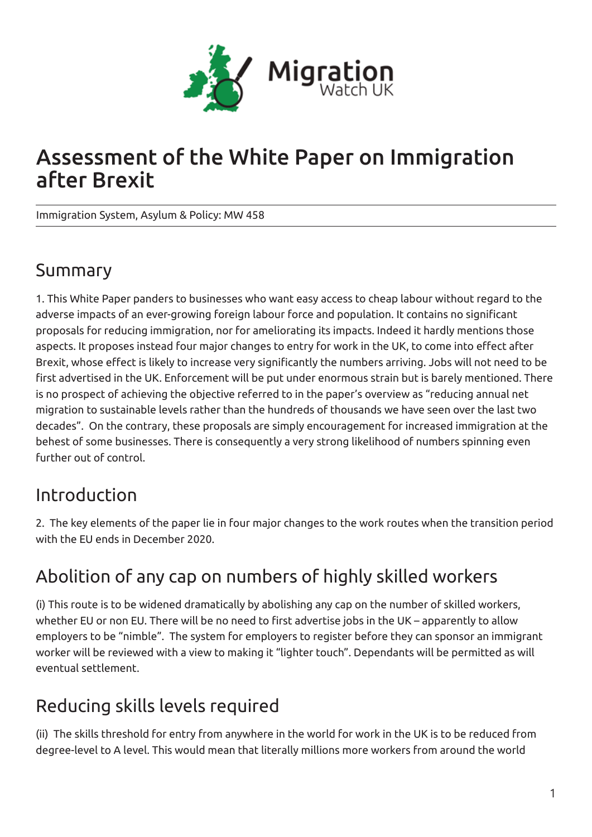

# Assessment of the White Paper on Immigration after Brexit

Immigration System, Asylum & Policy: MW 458

#### Summary

1. This White Paper panders to businesses who want easy access to cheap labour without regard to the adverse impacts of an ever-growing foreign labour force and population. It contains no significant proposals for reducing immigration, nor for ameliorating its impacts. Indeed it hardly mentions those aspects. It proposes instead four major changes to entry for work in the UK, to come into effect after Brexit, whose effect is likely to increase very significantly the numbers arriving. Jobs will not need to be first advertised in the UK. Enforcement will be put under enormous strain but is barely mentioned. There is no prospect of achieving the objective referred to in the paper's overview as "reducing annual net migration to sustainable levels rather than the hundreds of thousands we have seen over the last two decades". On the contrary, these proposals are simply encouragement for increased immigration at the behest of some businesses. There is consequently a very strong likelihood of numbers spinning even further out of control.

## Introduction

2. The key elements of the paper lie in four major changes to the work routes when the transition period with the EU ends in December 2020.

## Abolition of any cap on numbers of highly skilled workers

(i) This route is to be widened dramatically by abolishing any cap on the number of skilled workers, whether EU or non EU. There will be no need to first advertise jobs in the UK – apparently to allow employers to be "nimble". The system for employers to register before they can sponsor an immigrant worker will be reviewed with a view to making it "lighter touch". Dependants will be permitted as will eventual settlement.

## Reducing skills levels required

(ii) The skills threshold for entry from anywhere in the world for work in the UK is to be reduced from degree-level to A level. This would mean that literally millions more workers from around the world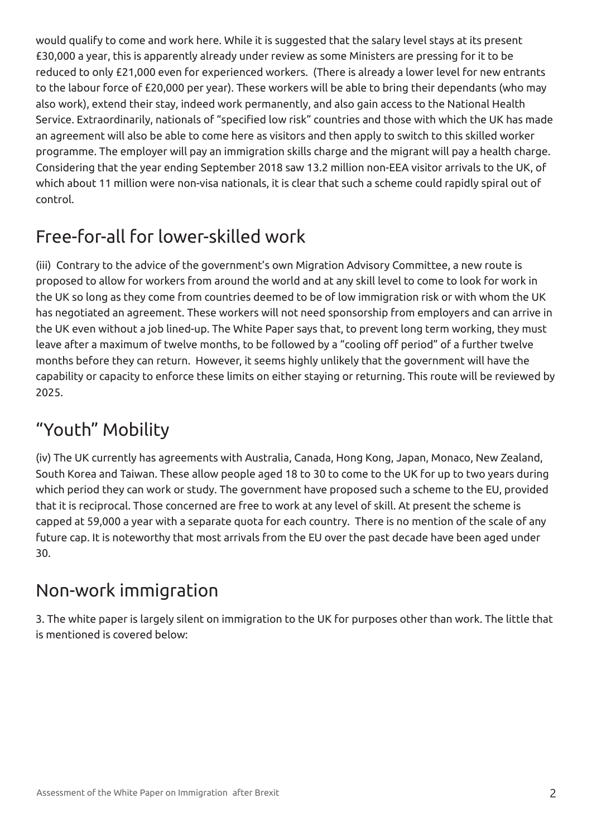would qualify to come and work here. While it is suggested that the salary level stays at its present £30,000 a year, this is apparently already under review as some Ministers are pressing for it to be reduced to only £21,000 even for experienced workers. (There is already a lower level for new entrants to the labour force of £20,000 per year). These workers will be able to bring their dependants (who may also work), extend their stay, indeed work permanently, and also gain access to the National Health Service. Extraordinarily, nationals of "specified low risk" countries and those with which the UK has made an agreement will also be able to come here as visitors and then apply to switch to this skilled worker programme. The employer will pay an immigration skills charge and the migrant will pay a health charge. Considering that the year ending September 2018 saw 13.2 million non-EEA visitor arrivals to the UK, of which about 11 million were non-visa nationals, it is clear that such a scheme could rapidly spiral out of control.

## Free-for-all for lower-skilled work

(iii) Contrary to the advice of the government's own Migration Advisory Committee, a new route is proposed to allow for workers from around the world and at any skill level to come to look for work in the UK so long as they come from countries deemed to be of low immigration risk or with whom the UK has negotiated an agreement. These workers will not need sponsorship from employers and can arrive in the UK even without a job lined-up. The White Paper says that, to prevent long term working, they must leave after a maximum of twelve months, to be followed by a "cooling off period" of a further twelve months before they can return. However, it seems highly unlikely that the government will have the capability or capacity to enforce these limits on either staying or returning. This route will be reviewed by 2025.

### "Youth" Mobility

(iv) The UK currently has agreements with Australia, Canada, Hong Kong, Japan, Monaco, New Zealand, South Korea and Taiwan. These allow people aged 18 to 30 to come to the UK for up to two years during which period they can work or study. The government have proposed such a scheme to the EU, provided that it is reciprocal. Those concerned are free to work at any level of skill. At present the scheme is capped at 59,000 a year with a separate quota for each country. There is no mention of the scale of any future cap. It is noteworthy that most arrivals from the EU over the past decade have been aged under 30.

## Non-work immigration

3. The white paper is largely silent on immigration to the UK for purposes other than work. The little that is mentioned is covered below: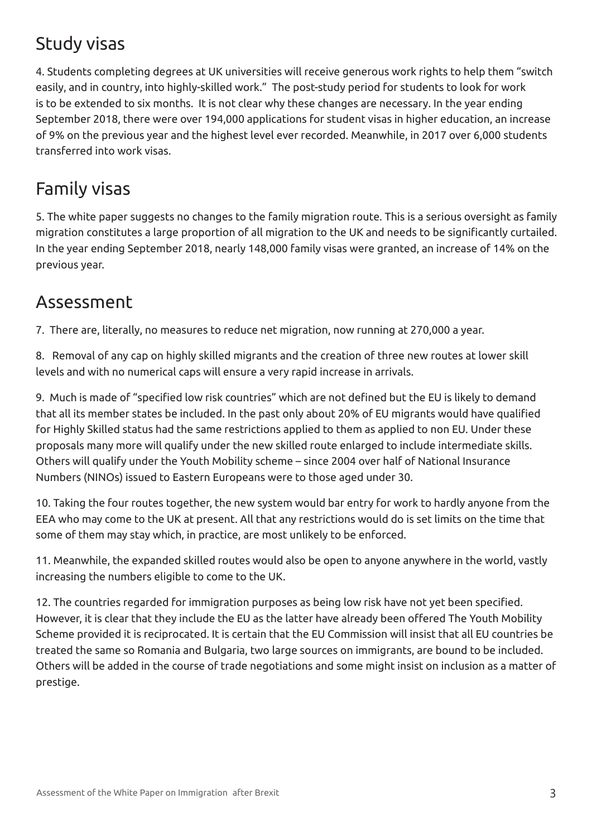## Study visas

4. Students completing degrees at UK universities will receive generous work rights to help them "switch easily, and in country, into highly-skilled work." The post-study period for students to look for work is to be extended to six months. It is not clear why these changes are necessary. In the year ending September 2018, there were over 194,000 applications for student visas in higher education, an increase of 9% on the previous year and the highest level ever recorded. Meanwhile, in 2017 over 6,000 students transferred into work visas.

## Family visas

5. The white paper suggests no changes to the family migration route. This is a serious oversight as family migration constitutes a large proportion of all migration to the UK and needs to be significantly curtailed. In the year ending September 2018, nearly 148,000 family visas were granted, an increase of 14% on the previous year.

#### Assessment

7. There are, literally, no measures to reduce net migration, now running at 270,000 a year.

8. Removal of any cap on highly skilled migrants and the creation of three new routes at lower skill levels and with no numerical caps will ensure a very rapid increase in arrivals.

9. Much is made of "specified low risk countries" which are not defined but the EU is likely to demand that all its member states be included. In the past only about 20% of EU migrants would have qualified for Highly Skilled status had the same restrictions applied to them as applied to non EU. Under these proposals many more will qualify under the new skilled route enlarged to include intermediate skills. Others will qualify under the Youth Mobility scheme – since 2004 over half of National Insurance Numbers (NINOs) issued to Eastern Europeans were to those aged under 30.

10. Taking the four routes together, the new system would bar entry for work to hardly anyone from the EEA who may come to the UK at present. All that any restrictions would do is set limits on the time that some of them may stay which, in practice, are most unlikely to be enforced.

11. Meanwhile, the expanded skilled routes would also be open to anyone anywhere in the world, vastly increasing the numbers eligible to come to the UK.

12. The countries regarded for immigration purposes as being low risk have not yet been specified. However, it is clear that they include the EU as the latter have already been offered The Youth Mobility Scheme provided it is reciprocated. It is certain that the EU Commission will insist that all EU countries be treated the same so Romania and Bulgaria, two large sources on immigrants, are bound to be included. Others will be added in the course of trade negotiations and some might insist on inclusion as a matter of prestige.